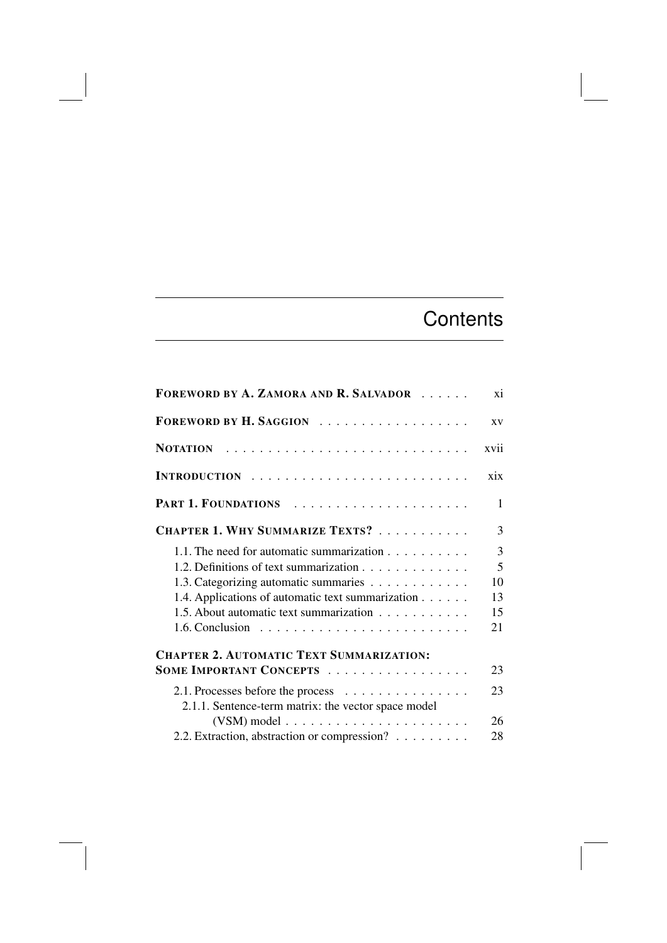## **Contents**

| FOREWORD BY A. ZAMORA AND R. SALVADOR                                                    | xi             |
|------------------------------------------------------------------------------------------|----------------|
| FOREWORD BY H. SAGGION                                                                   | <b>XV</b>      |
|                                                                                          | xvii           |
|                                                                                          | xix            |
|                                                                                          | 1              |
| CHAPTER 1. WHY SUMMARIZE TEXTS?                                                          | 3              |
| 1.1. The need for automatic summarization                                                | $\overline{3}$ |
| 1.2. Definitions of text summarization                                                   | 5              |
| 1.3. Categorizing automatic summaries                                                    | 10             |
| 1.4. Applications of automatic text summarization                                        | 13             |
| 1.5. About automatic text summarization                                                  | 15             |
|                                                                                          | 21             |
| <b>CHAPTER 2. AUTOMATIC TEXT SUMMARIZATION:</b>                                          |                |
| SOME IMPORTANT CONCEPTS                                                                  | 23             |
| 2.1. Processes before the process<br>2.1.1. Sentence-term matrix: the vector space model | 23             |
|                                                                                          | 26             |
| 2.2. Extraction, abstraction or compression?                                             | 28             |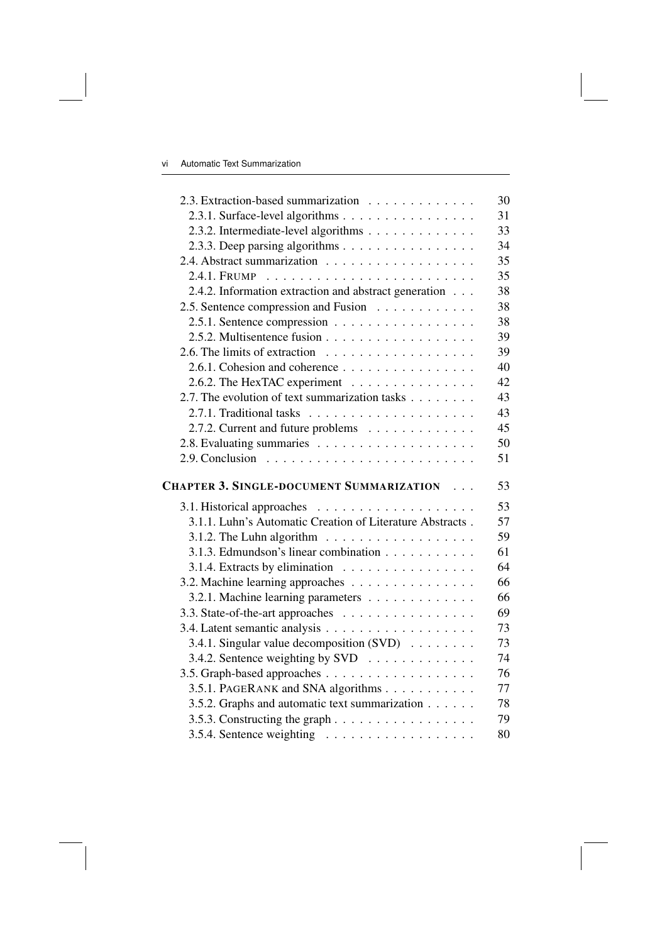| 2.3. Extraction-based summarization                                       | 30 |
|---------------------------------------------------------------------------|----|
| 2.3.1. Surface-level algorithms                                           | 31 |
| 2.3.2. Intermediate-level algorithms                                      | 33 |
| 2.3.3. Deep parsing algorithms                                            | 34 |
|                                                                           | 35 |
|                                                                           | 35 |
| 2.4.2. Information extraction and abstract generation                     | 38 |
| 2.5. Sentence compression and Fusion                                      | 38 |
| 2.5.1. Sentence compression $\dots \dots \dots \dots \dots \dots$         | 38 |
|                                                                           | 39 |
| 2.6. The limits of extraction $\ldots \ldots \ldots \ldots \ldots \ldots$ | 39 |
| 2.6.1. Cohesion and coherence                                             | 40 |
| 2.6.2. The HexTAC experiment                                              | 42 |
| 2.7. The evolution of text summarization tasks                            | 43 |
|                                                                           | 43 |
| 2.7.2. Current and future problems                                        | 45 |
|                                                                           | 50 |
| 2.9. Conclusion $\ldots \ldots \ldots \ldots \ldots \ldots \ldots \ldots$ | 51 |
| <b>CHAPTER 3. SINGLE-DOCUMENT SUMMARIZATION</b>                           | 53 |
|                                                                           | 53 |
| 3.1.1. Luhn's Automatic Creation of Literature Abstracts.                 | 57 |
| 3.1.2. The Luhn algorithm $\ldots \ldots \ldots \ldots \ldots$            | 59 |
| 3.1.3. Edmundson's linear combination                                     | 61 |
| 3.1.4. Extracts by elimination                                            | 64 |
| 3.2. Machine learning approaches                                          | 66 |
| 3.2.1. Machine learning parameters                                        | 66 |
| 3.3. State-of-the-art approaches                                          | 69 |
|                                                                           | 73 |
| 3.4.1. Singular value decomposition (SVD)                                 | 73 |
| 3.4.2. Sentence weighting by SVD $\dots \dots \dots \dots$                | 74 |
|                                                                           | 76 |
| 3.5.1. PAGERANK and SNA algorithms                                        | 77 |
| 3.5.2. Graphs and automatic text summarization                            | 78 |
|                                                                           | 79 |
|                                                                           | 80 |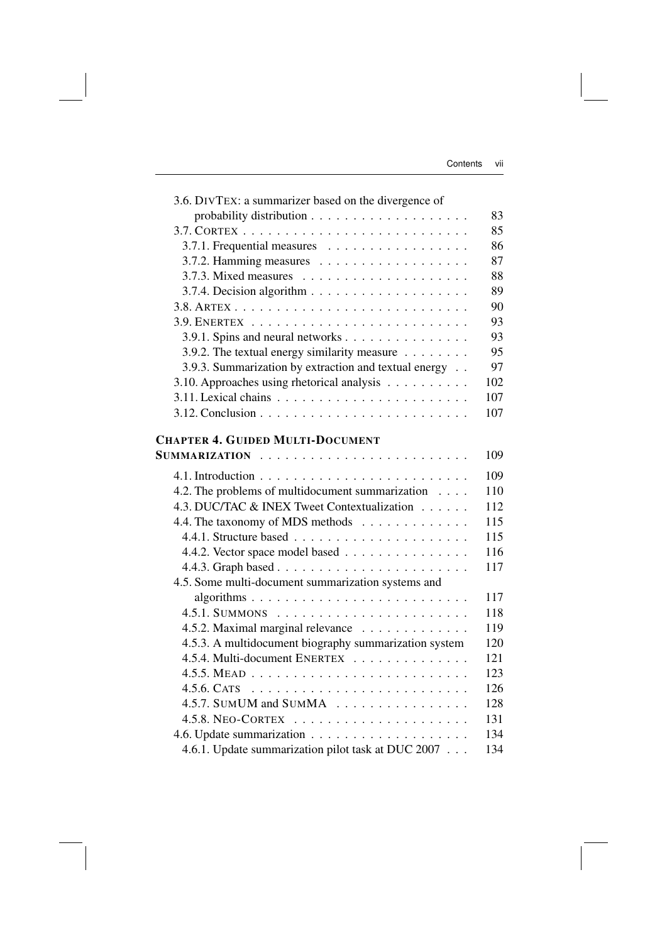| 3.6. DIVTEX: a summarizer based on the divergence of              |     |
|-------------------------------------------------------------------|-----|
|                                                                   | 83  |
|                                                                   | 85  |
| 3.7.1. Frequential measures                                       | 86  |
|                                                                   | 87  |
| 3.7.3. Mixed measures $\dots \dots \dots \dots \dots \dots \dots$ | 88  |
|                                                                   | 89  |
|                                                                   | 90  |
|                                                                   | 93  |
| 3.9.1. Spins and neural networks                                  | 93  |
| 3.9.2. The textual energy similarity measure                      | 95  |
| 3.9.3. Summarization by extraction and textual energy             | 97  |
| 3.10. Approaches using rhetorical analysis                        | 102 |
|                                                                   | 107 |
|                                                                   | 107 |
|                                                                   |     |
| <b>CHAPTER 4. GUIDED MULTI-DOCUMENT</b>                           |     |
|                                                                   | 109 |
|                                                                   | 109 |
| 4.2. The problems of multidocument summarization                  | 110 |
| 4.3. DUC/TAC & INEX Tweet Contextualization                       | 112 |
| 4.4. The taxonomy of MDS methods                                  | 115 |
|                                                                   | 115 |
| 4.4.2. Vector space model based                                   | 116 |
|                                                                   | 117 |
| 4.5. Some multi-document summarization systems and                |     |
|                                                                   | 117 |
|                                                                   | 118 |
| 4.5.2. Maximal marginal relevance                                 | 119 |
| 4.5.3. A multidocument biography summarization system             | 120 |
| 4.5.4. Multi-document ENERTEX                                     | 121 |
|                                                                   | 123 |
|                                                                   | 126 |
| 4.5.7. SUMUM and SUMMA                                            | 128 |
|                                                                   | 131 |
|                                                                   | 134 |
| 4.6.1. Update summarization pilot task at DUC 2007                | 134 |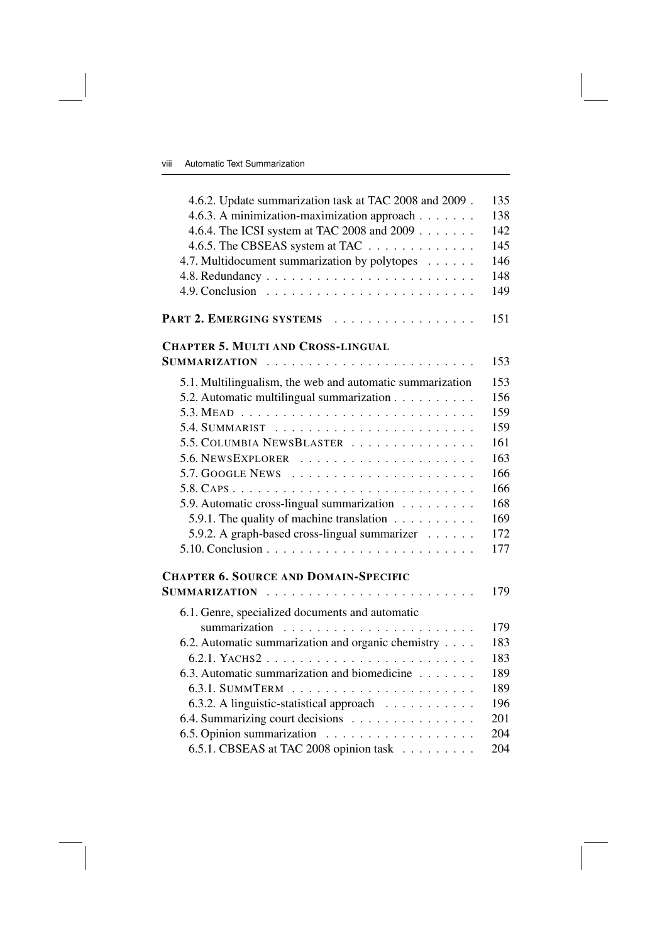| 4.6.2. Update summarization task at TAC 2008 and 2009.                    | 135 |
|---------------------------------------------------------------------------|-----|
| 4.6.3. A minimization-maximization approach                               | 138 |
| 4.6.4. The ICSI system at TAC 2008 and 2009                               | 142 |
| 4.6.5. The CBSEAS system at TAC                                           | 145 |
| 4.7. Multidocument summarization by polytopes                             | 146 |
|                                                                           | 148 |
| 4.9. Conclusion $\ldots \ldots \ldots \ldots \ldots \ldots \ldots \ldots$ | 149 |
| PART 2. EMERGING SYSTEMS                                                  | 151 |
| <b>CHAPTER 5. MULTI AND CROSS-LINGUAL</b>                                 |     |
|                                                                           | 153 |
| 5.1. Multilingualism, the web and automatic summarization                 | 153 |
| 5.2. Automatic multilingual summarization                                 | 156 |
|                                                                           | 159 |
|                                                                           | 159 |
| 5.5. COLUMBIA NEWSBLASTER                                                 | 161 |
|                                                                           | 163 |
| $5.7.$ GOOGLE NEWS $\dots \dots \dots \dots \dots \dots \dots \dots$      | 166 |
|                                                                           | 166 |
| 5.9. Automatic cross-lingual summarization                                | 168 |
| 5.9.1. The quality of machine translation $\dots \dots \dots$             | 169 |
| 5.9.2. A graph-based cross-lingual summarizer                             | 172 |
|                                                                           | 177 |
| <b>CHAPTER 6. SOURCE AND DOMAIN-SPECIFIC</b>                              |     |
| <b>SUMMARIZATION</b>                                                      | 179 |
| 6.1. Genre, specialized documents and automatic                           |     |
|                                                                           | 179 |
| 6.2. Automatic summarization and organic chemistry                        | 183 |
|                                                                           | 183 |
| 6.3. Automatic summarization and biomedicine                              | 189 |
|                                                                           | 189 |
| 6.3.2. A linguistic-statistical approach                                  | 196 |
| 6.4. Summarizing court decisions                                          | 201 |
|                                                                           | 204 |
| 6.5.1. CBSEAS at TAC 2008 opinion task                                    | 204 |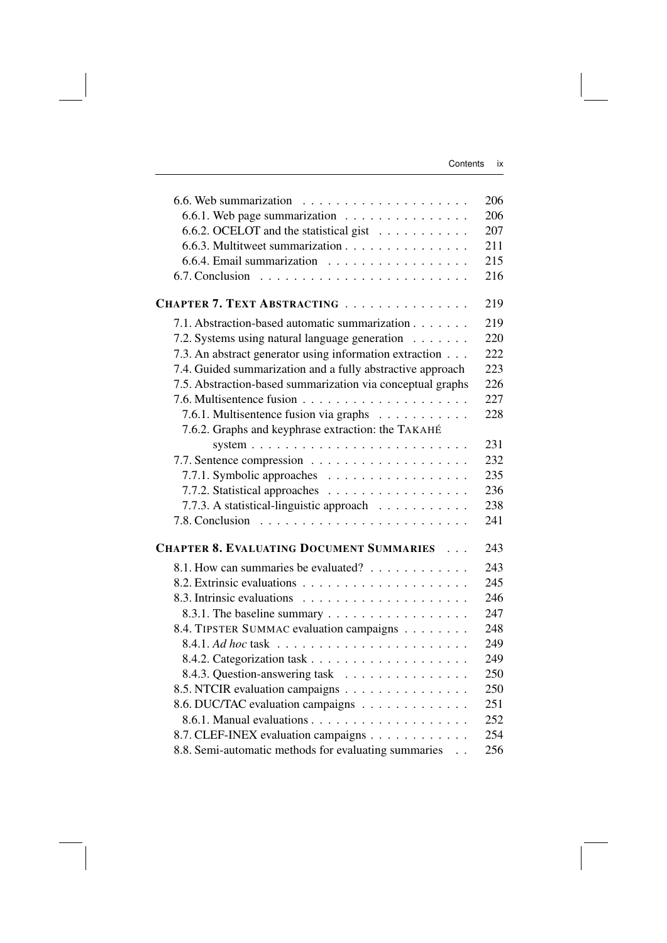|                                                                           | 206 |
|---------------------------------------------------------------------------|-----|
| 6.6.1. Web page summarization $\dots \dots \dots \dots \dots$             | 206 |
| 6.6.2. OCELOT and the statistical gist $\ldots \ldots \ldots$             | 207 |
| 6.6.3. Multitweet summarization                                           | 211 |
| 6.6.4. Email summarization                                                | 215 |
| 6.7. Conclusion $\ldots \ldots \ldots \ldots \ldots \ldots \ldots \ldots$ | 216 |
| CHAPTER 7. TEXT ABSTRACTING                                               | 219 |
| 7.1. Abstraction-based automatic summarization                            | 219 |
| 7.2. Systems using natural language generation                            | 220 |
| 7.3. An abstract generator using information extraction                   | 222 |
| 7.4. Guided summarization and a fully abstractive approach                | 223 |
| 7.5. Abstraction-based summarization via conceptual graphs                | 226 |
|                                                                           | 227 |
| 7.6.1. Multisentence fusion via graphs                                    | 228 |
| 7.6.2. Graphs and keyphrase extraction: the TAKAHÉ                        |     |
|                                                                           | 231 |
|                                                                           | 232 |
| 7.7.1. Symbolic approaches                                                | 235 |
| 7.7.2. Statistical approaches                                             | 236 |
| 7.7.3. A statistical-linguistic approach                                  | 238 |
|                                                                           | 241 |
| <b>CHAPTER 8. EVALUATING DOCUMENT SUMMARIES </b>                          | 243 |
|                                                                           | 243 |
| 8.1. How can summaries be evaluated?                                      | 245 |
|                                                                           |     |
|                                                                           | 246 |
| 8.3.1. The baseline summary                                               | 247 |
| 8.4. TIPSTER SUMMAC evaluation campaigns                                  | 248 |
|                                                                           | 249 |
|                                                                           | 249 |
| 8.4.3. Question-answering task                                            | 250 |
| 8.5. NTCIR evaluation campaigns                                           | 250 |
| 8.6. DUC/TAC evaluation campaigns                                         | 251 |
|                                                                           | 252 |
| 8.7. CLEF-INEX evaluation campaigns                                       | 254 |
| 8.8. Semi-automatic methods for evaluating summaries                      | 256 |